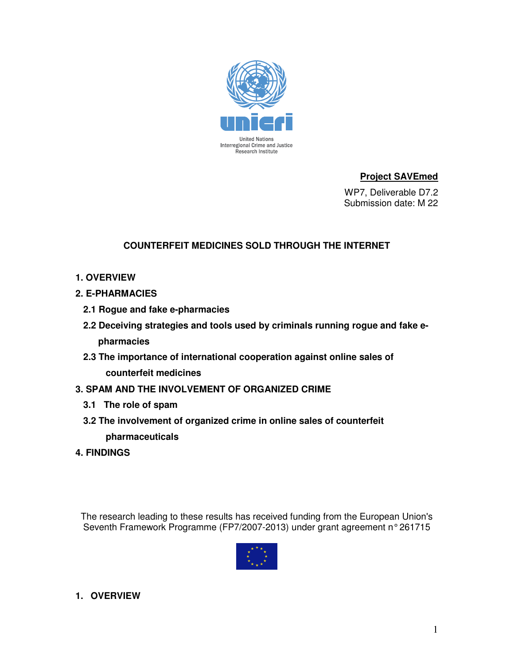

## **Project SAVEmed**

 WP7, Deliverable D7.2 Submission date: M 22

## **COUNTERFEIT MEDICINES SOLD THROUGH THE INTERNET**

- **1. OVERVIEW**
- **2. E-PHARMACIES** 
	- **2.1 Rogue and fake e-pharmacies**
	- **2.2 Deceiving strategies and tools used by criminals running rogue and fake epharmacies**
	- **2.3 The importance of international cooperation against online sales of counterfeit medicines**
- **3. SPAM AND THE INVOLVEMENT OF ORGANIZED CRIME** 
	- **3.1 The role of spam**
	- **3.2 The involvement of organized crime in online sales of counterfeit pharmaceuticals**
- **4. FINDINGS**

The research leading to these results has received funding from the European Union's Seventh Framework Programme (FP7/2007-2013) under grant agreement n° 261715



## **1. OVERVIEW**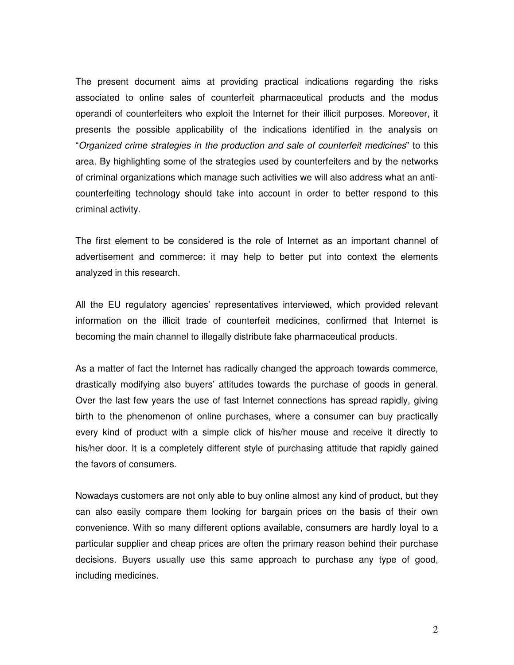The present document aims at providing practical indications regarding the risks associated to online sales of counterfeit pharmaceutical products and the modus operandi of counterfeiters who exploit the Internet for their illicit purposes. Moreover, it presents the possible applicability of the indications identified in the analysis on "Organized crime strategies in the production and sale of counterfeit medicines" to this area. By highlighting some of the strategies used by counterfeiters and by the networks of criminal organizations which manage such activities we will also address what an anticounterfeiting technology should take into account in order to better respond to this criminal activity.

The first element to be considered is the role of Internet as an important channel of advertisement and commerce: it may help to better put into context the elements analyzed in this research.

All the EU regulatory agencies' representatives interviewed, which provided relevant information on the illicit trade of counterfeit medicines, confirmed that Internet is becoming the main channel to illegally distribute fake pharmaceutical products.

As a matter of fact the Internet has radically changed the approach towards commerce, drastically modifying also buyers' attitudes towards the purchase of goods in general. Over the last few years the use of fast Internet connections has spread rapidly, giving birth to the phenomenon of online purchases, where a consumer can buy practically every kind of product with a simple click of his/her mouse and receive it directly to his/her door. It is a completely different style of purchasing attitude that rapidly gained the favors of consumers.

Nowadays customers are not only able to buy online almost any kind of product, but they can also easily compare them looking for bargain prices on the basis of their own convenience. With so many different options available, consumers are hardly loyal to a particular supplier and cheap prices are often the primary reason behind their purchase decisions. Buyers usually use this same approach to purchase any type of good, including medicines.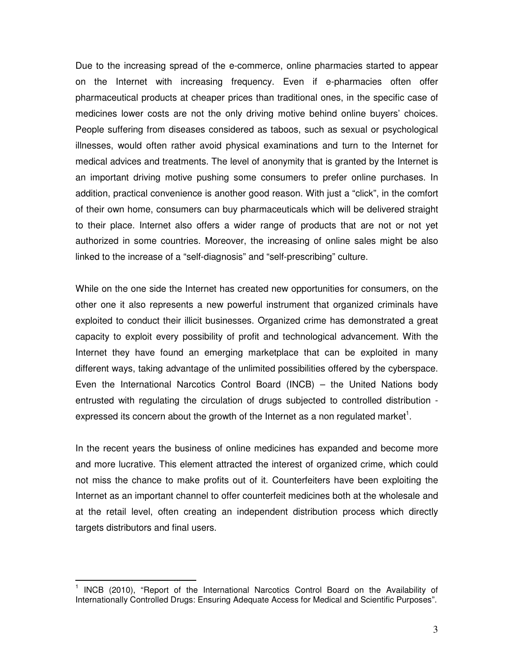Due to the increasing spread of the e-commerce, online pharmacies started to appear on the Internet with increasing frequency. Even if e-pharmacies often offer pharmaceutical products at cheaper prices than traditional ones, in the specific case of medicines lower costs are not the only driving motive behind online buyers' choices. People suffering from diseases considered as taboos, such as sexual or psychological illnesses, would often rather avoid physical examinations and turn to the Internet for medical advices and treatments. The level of anonymity that is granted by the Internet is an important driving motive pushing some consumers to prefer online purchases. In addition, practical convenience is another good reason. With just a "click", in the comfort of their own home, consumers can buy pharmaceuticals which will be delivered straight to their place. Internet also offers a wider range of products that are not or not yet authorized in some countries. Moreover, the increasing of online sales might be also linked to the increase of a "self-diagnosis" and "self-prescribing" culture.

While on the one side the Internet has created new opportunities for consumers, on the other one it also represents a new powerful instrument that organized criminals have exploited to conduct their illicit businesses. Organized crime has demonstrated a great capacity to exploit every possibility of profit and technological advancement. With the Internet they have found an emerging marketplace that can be exploited in many different ways, taking advantage of the unlimited possibilities offered by the cyberspace. Even the International Narcotics Control Board (INCB) – the United Nations body entrusted with regulating the circulation of drugs subjected to controlled distribution expressed its concern about the growth of the Internet as a non regulated market<sup>1</sup>.

In the recent years the business of online medicines has expanded and become more and more lucrative. This element attracted the interest of organized crime, which could not miss the chance to make profits out of it. Counterfeiters have been exploiting the Internet as an important channel to offer counterfeit medicines both at the wholesale and at the retail level, often creating an independent distribution process which directly targets distributors and final users.

 $\overline{\phantom{a}}$ 

<sup>1</sup> INCB (2010), "Report of the International Narcotics Control Board on the Availability of Internationally Controlled Drugs: Ensuring Adequate Access for Medical and Scientific Purposes".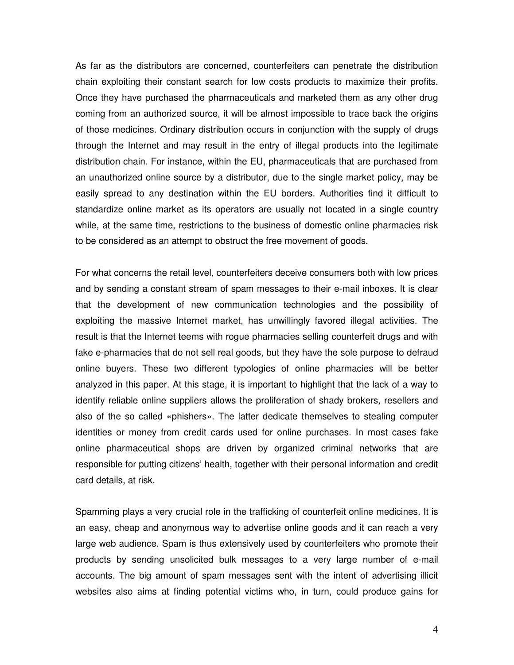As far as the distributors are concerned, counterfeiters can penetrate the distribution chain exploiting their constant search for low costs products to maximize their profits. Once they have purchased the pharmaceuticals and marketed them as any other drug coming from an authorized source, it will be almost impossible to trace back the origins of those medicines. Ordinary distribution occurs in conjunction with the supply of drugs through the Internet and may result in the entry of illegal products into the legitimate distribution chain. For instance, within the EU, pharmaceuticals that are purchased from an unauthorized online source by a distributor, due to the single market policy, may be easily spread to any destination within the EU borders. Authorities find it difficult to standardize online market as its operators are usually not located in a single country while, at the same time, restrictions to the business of domestic online pharmacies risk to be considered as an attempt to obstruct the free movement of goods.

For what concerns the retail level, counterfeiters deceive consumers both with low prices and by sending a constant stream of spam messages to their e-mail inboxes. It is clear that the development of new communication technologies and the possibility of exploiting the massive Internet market, has unwillingly favored illegal activities. The result is that the Internet teems with rogue pharmacies selling counterfeit drugs and with fake e-pharmacies that do not sell real goods, but they have the sole purpose to defraud online buyers. These two different typologies of online pharmacies will be better analyzed in this paper. At this stage, it is important to highlight that the lack of a way to identify reliable online suppliers allows the proliferation of shady brokers, resellers and also of the so called «phishers». The latter dedicate themselves to stealing computer identities or money from credit cards used for online purchases. In most cases fake online pharmaceutical shops are driven by organized criminal networks that are responsible for putting citizens' health, together with their personal information and credit card details, at risk.

Spamming plays a very crucial role in the trafficking of counterfeit online medicines. It is an easy, cheap and anonymous way to advertise online goods and it can reach a very large web audience. Spam is thus extensively used by counterfeiters who promote their products by sending unsolicited bulk messages to a very large number of e-mail accounts. The big amount of spam messages sent with the intent of advertising illicit websites also aims at finding potential victims who, in turn, could produce gains for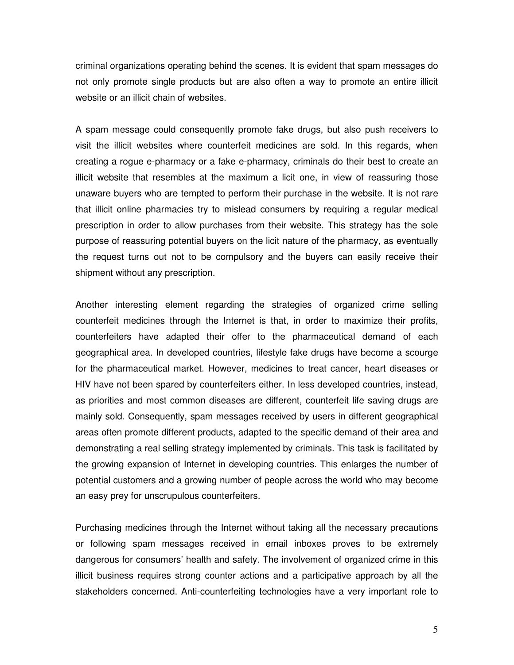criminal organizations operating behind the scenes. It is evident that spam messages do not only promote single products but are also often a way to promote an entire illicit website or an illicit chain of websites.

A spam message could consequently promote fake drugs, but also push receivers to visit the illicit websites where counterfeit medicines are sold. In this regards, when creating a rogue e-pharmacy or a fake e-pharmacy, criminals do their best to create an illicit website that resembles at the maximum a licit one, in view of reassuring those unaware buyers who are tempted to perform their purchase in the website. It is not rare that illicit online pharmacies try to mislead consumers by requiring a regular medical prescription in order to allow purchases from their website. This strategy has the sole purpose of reassuring potential buyers on the licit nature of the pharmacy, as eventually the request turns out not to be compulsory and the buyers can easily receive their shipment without any prescription.

Another interesting element regarding the strategies of organized crime selling counterfeit medicines through the Internet is that, in order to maximize their profits, counterfeiters have adapted their offer to the pharmaceutical demand of each geographical area. In developed countries, lifestyle fake drugs have become a scourge for the pharmaceutical market. However, medicines to treat cancer, heart diseases or HIV have not been spared by counterfeiters either. In less developed countries, instead, as priorities and most common diseases are different, counterfeit life saving drugs are mainly sold. Consequently, spam messages received by users in different geographical areas often promote different products, adapted to the specific demand of their area and demonstrating a real selling strategy implemented by criminals. This task is facilitated by the growing expansion of Internet in developing countries. This enlarges the number of potential customers and a growing number of people across the world who may become an easy prey for unscrupulous counterfeiters.

Purchasing medicines through the Internet without taking all the necessary precautions or following spam messages received in email inboxes proves to be extremely dangerous for consumers' health and safety. The involvement of organized crime in this illicit business requires strong counter actions and a participative approach by all the stakeholders concerned. Anti-counterfeiting technologies have a very important role to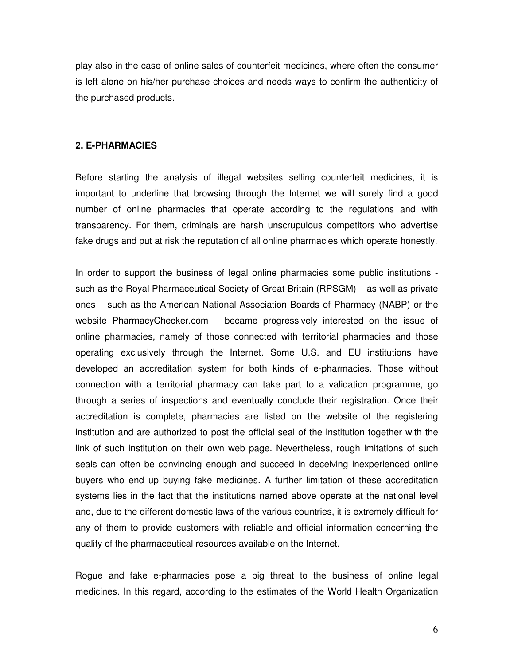play also in the case of online sales of counterfeit medicines, where often the consumer is left alone on his/her purchase choices and needs ways to confirm the authenticity of the purchased products.

#### **2. E-PHARMACIES**

Before starting the analysis of illegal websites selling counterfeit medicines, it is important to underline that browsing through the Internet we will surely find a good number of online pharmacies that operate according to the regulations and with transparency. For them, criminals are harsh unscrupulous competitors who advertise fake drugs and put at risk the reputation of all online pharmacies which operate honestly.

In order to support the business of legal online pharmacies some public institutions such as the Royal Pharmaceutical Society of Great Britain (RPSGM) – as well as private ones – such as the American National Association Boards of Pharmacy (NABP) or the website PharmacyChecker.com – became progressively interested on the issue of online pharmacies, namely of those connected with territorial pharmacies and those operating exclusively through the Internet. Some U.S. and EU institutions have developed an accreditation system for both kinds of e-pharmacies. Those without connection with a territorial pharmacy can take part to a validation programme, go through a series of inspections and eventually conclude their registration. Once their accreditation is complete, pharmacies are listed on the website of the registering institution and are authorized to post the official seal of the institution together with the link of such institution on their own web page. Nevertheless, rough imitations of such seals can often be convincing enough and succeed in deceiving inexperienced online buyers who end up buying fake medicines. A further limitation of these accreditation systems lies in the fact that the institutions named above operate at the national level and, due to the different domestic laws of the various countries, it is extremely difficult for any of them to provide customers with reliable and official information concerning the quality of the pharmaceutical resources available on the Internet.

Rogue and fake e-pharmacies pose a big threat to the business of online legal medicines. In this regard, according to the estimates of the World Health Organization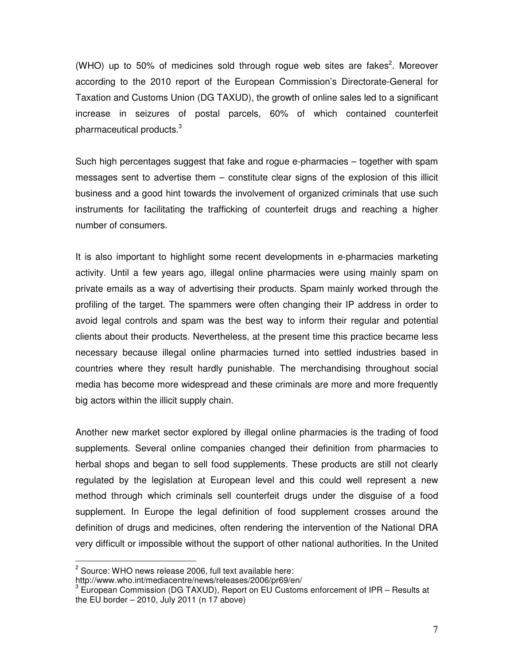(WHO) up to 50% of medicines sold through rogue web sites are fakes<sup>2</sup>. Moreover according to the 2010 report of the European Commission's Directorate-General for Taxation and Customs Union (DG TAXUD), the growth of online sales led to a significant increase in seizures of postal parcels, 60% of which contained counterfeit pharmaceutical products. $3$ 

Such high percentages suggest that fake and rogue e-pharmacies – together with spam messages sent to advertise them – constitute clear signs of the explosion of this illicit business and a good hint towards the involvement of organized criminals that use such instruments for facilitating the trafficking of counterfeit drugs and reaching a higher number of consumers.

It is also important to highlight some recent developments in e-pharmacies marketing activity. Until a few years ago, illegal online pharmacies were using mainly spam on private emails as a way of advertising their products. Spam mainly worked through the profiling of the target. The spammers were often changing their IP address in order to avoid legal controls and spam was the best way to inform their regular and potential clients about their products. Nevertheless, at the present time this practice became less necessary because illegal online pharmacies turned into settled industries based in countries where they result hardly punishable. The merchandising throughout social media has become more widespread and these criminals are more and more frequently big actors within the illicit supply chain.

Another new market sector explored by illegal online pharmacies is the trading of food supplements. Several online companies changed their definition from pharmacies to herbal shops and began to sell food supplements. These products are still not clearly regulated by the legislation at European level and this could well represent a new method through which criminals sell counterfeit drugs under the disguise of a food supplement. In Europe the legal definition of food supplement crosses around the definition of drugs and medicines, often rendering the intervention of the National DRA very difficult or impossible without the support of other national authorities. In the United

 $\overline{\phantom{a}}$ 

 $2$  Source: WHO news release 2006, full text available here:

http://www.who.int/mediacentre/news/releases/2006/pr69/en/

 $3$  European Commission (DG TAXUD), Report on EU Customs enforcement of IPR – Results at the EU border  $-2010$ , July 2011 (n 17 above)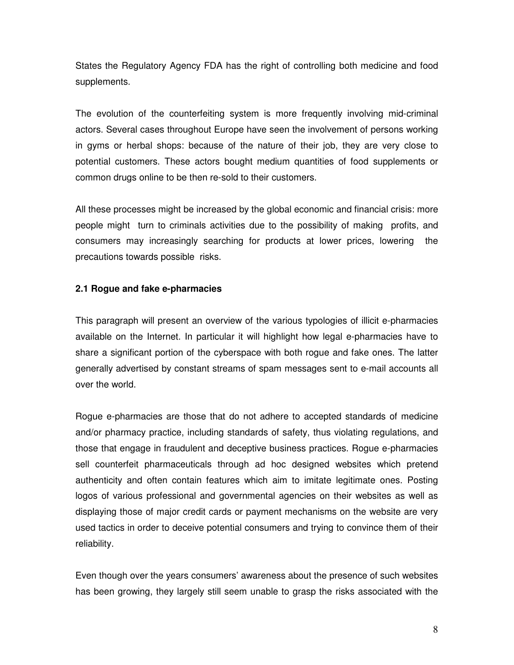States the Regulatory Agency FDA has the right of controlling both medicine and food supplements.

The evolution of the counterfeiting system is more frequently involving mid-criminal actors. Several cases throughout Europe have seen the involvement of persons working in gyms or herbal shops: because of the nature of their job, they are very close to potential customers. These actors bought medium quantities of food supplements or common drugs online to be then re-sold to their customers.

All these processes might be increased by the global economic and financial crisis: more people might turn to criminals activities due to the possibility of making profits, and consumers may increasingly searching for products at lower prices, lowering the precautions towards possible risks.

## **2.1 Rogue and fake e-pharmacies**

This paragraph will present an overview of the various typologies of illicit e-pharmacies available on the Internet. In particular it will highlight how legal e-pharmacies have to share a significant portion of the cyberspace with both rogue and fake ones. The latter generally advertised by constant streams of spam messages sent to e-mail accounts all over the world.

Rogue e-pharmacies are those that do not adhere to accepted standards of medicine and/or pharmacy practice, including standards of safety, thus violating regulations, and those that engage in fraudulent and deceptive business practices. Rogue e-pharmacies sell counterfeit pharmaceuticals through ad hoc designed websites which pretend authenticity and often contain features which aim to imitate legitimate ones. Posting logos of various professional and governmental agencies on their websites as well as displaying those of major credit cards or payment mechanisms on the website are very used tactics in order to deceive potential consumers and trying to convince them of their reliability.

Even though over the years consumers' awareness about the presence of such websites has been growing, they largely still seem unable to grasp the risks associated with the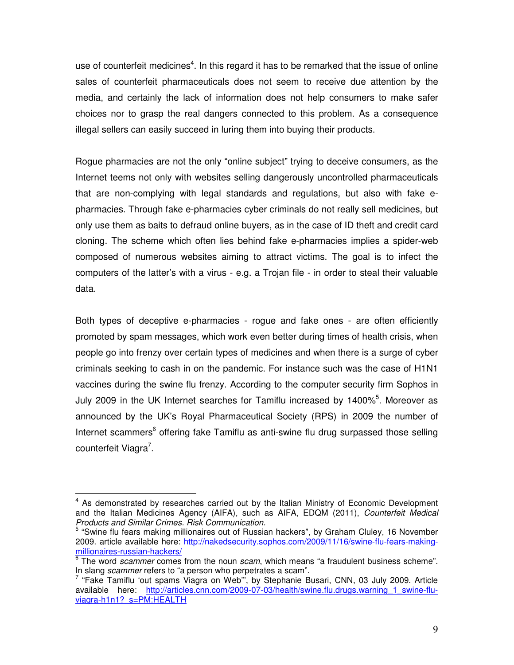use of counterfeit medicines<sup>4</sup>. In this regard it has to be remarked that the issue of online sales of counterfeit pharmaceuticals does not seem to receive due attention by the media, and certainly the lack of information does not help consumers to make safer choices nor to grasp the real dangers connected to this problem. As a consequence illegal sellers can easily succeed in luring them into buying their products.

Rogue pharmacies are not the only "online subject" trying to deceive consumers, as the Internet teems not only with websites selling dangerously uncontrolled pharmaceuticals that are non-complying with legal standards and regulations, but also with fake epharmacies. Through fake e-pharmacies cyber criminals do not really sell medicines, but only use them as baits to defraud online buyers, as in the case of ID theft and credit card cloning. The scheme which often lies behind fake e-pharmacies implies a spider-web composed of numerous websites aiming to attract victims. The goal is to infect the computers of the latter's with a virus - e.g. a Trojan file - in order to steal their valuable data.

Both types of deceptive e-pharmacies - rogue and fake ones - are often efficiently promoted by spam messages, which work even better during times of health crisis, when people go into frenzy over certain types of medicines and when there is a surge of cyber criminals seeking to cash in on the pandemic. For instance such was the case of H1N1 vaccines during the swine flu frenzy. According to the computer security firm Sophos in July 2009 in the UK Internet searches for Tamiflu increased by 1400% $5$ . Moreover as announced by the UK's Royal Pharmaceutical Society (RPS) in 2009 the number of Internet scammers<sup>6</sup> offering fake Tamiflu as anti-swine flu drug surpassed those selling counterfeit Viagra<sup>7</sup>.

 $\overline{\phantom{a}}$ 

<sup>&</sup>lt;sup>4</sup> As demonstrated by researches carried out by the Italian Ministry of Economic Development and the Italian Medicines Agency (AIFA), such as AIFA, EDQM (2011), Counterfeit Medical Products and Similar Crimes. Risk Communication.

<sup>&</sup>lt;sup>5</sup> "Swine flu fears making millionaires out of Russian hackers", by Graham Cluley, 16 November 2009. article available here: http://nakedsecurity.sophos.com/2009/11/16/swine-flu-fears-makingmillionaires-russian-hackers/

 $\overline{6}$  The word scammer comes from the noun scam, which means "a fraudulent business scheme". In slang *scammer* refers to "a person who perpetrates a scam".

 $7$  "Fake Tamiflu 'out spams Viagra on Web", by Stephanie Busari, CNN, 03 July 2009. Article available here: http://articles.cnn.com/2009-07-03/health/swine.flu.drugs.warning\_1\_swine-fluviagra-h1n1?\_s=PM:HEALTH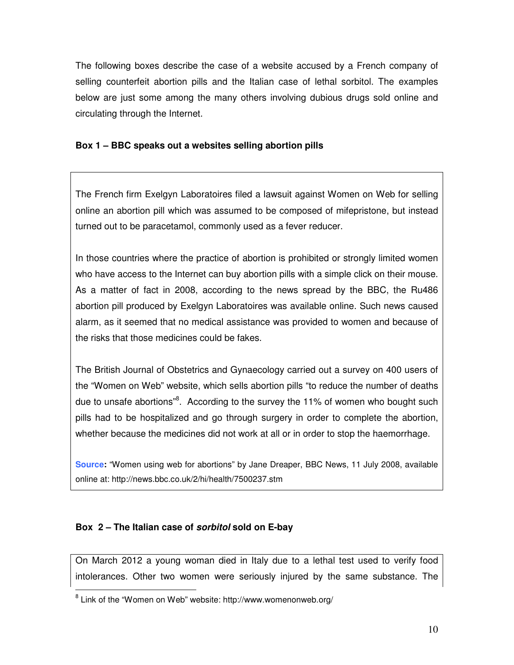The following boxes describe the case of a website accused by a French company of selling counterfeit abortion pills and the Italian case of lethal sorbitol. The examples below are just some among the many others involving dubious drugs sold online and circulating through the Internet.

## **Box 1 – BBC speaks out a websites selling abortion pills**

The French firm Exelgyn Laboratoires filed a lawsuit against Women on Web for selling online an abortion pill which was assumed to be composed of mifepristone, but instead turned out to be paracetamol, commonly used as a fever reducer.

In those countries where the practice of abortion is prohibited or strongly limited women who have access to the Internet can buy abortion pills with a simple click on their mouse. As a matter of fact in 2008, according to the news spread by the BBC, the Ru486 abortion pill produced by Exelgyn Laboratoires was available online. Such news caused alarm, as it seemed that no medical assistance was provided to women and because of the risks that those medicines could be fakes.

The British Journal of Obstetrics and Gynaecology carried out a survey on 400 users of the "Women on Web" website, which sells abortion pills "to reduce the number of deaths due to unsafe abortions"<sup>8</sup>. According to the survey the 11% of women who bought such pills had to be hospitalized and go through surgery in order to complete the abortion, whether because the medicines did not work at all or in order to stop the haemorrhage.

**Source:** "Women using web for abortions" by Jane Dreaper, BBC News, 11 July 2008, available online at: http://news.bbc.co.uk/2/hi/health/7500237.stm

## **Box 2 – The Italian case of sorbitol sold on E-bay**

 $\overline{a}$ 

On March 2012 a young woman died in Italy due to a lethal test used to verify food intolerances. Other two women were seriously injured by the same substance. The

<sup>&</sup>lt;sup>8</sup> Link of the "Women on Web" website: http://www.womenonweb.org/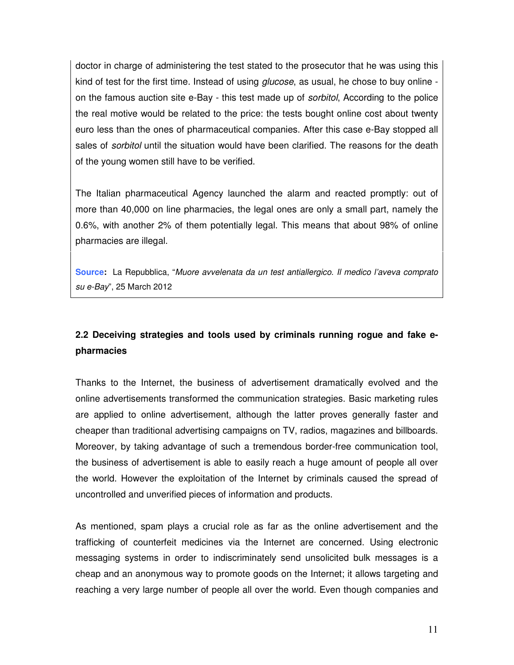doctor in charge of administering the test stated to the prosecutor that he was using this kind of test for the first time. Instead of using *glucose*, as usual, he chose to buy online on the famous auction site e-Bay - this test made up of *sorbitol*, According to the police the real motive would be related to the price: the tests bought online cost about twenty euro less than the ones of pharmaceutical companies. After this case e-Bay stopped all sales of *sorbitol* until the situation would have been clarified. The reasons for the death of the young women still have to be verified.

The Italian pharmaceutical Agency launched the alarm and reacted promptly: out of more than 40,000 on line pharmacies, the legal ones are only a small part, namely the 0.6%, with another 2% of them potentially legal. This means that about 98% of online pharmacies are illegal.

Source: La Repubblica, "Muore avvelenata da un test antiallergico. Il medico l'aveva comprato su e-Bay", 25 March 2012

# **2.2 Deceiving strategies and tools used by criminals running rogue and fake epharmacies**

Thanks to the Internet, the business of advertisement dramatically evolved and the online advertisements transformed the communication strategies. Basic marketing rules are applied to online advertisement, although the latter proves generally faster and cheaper than traditional advertising campaigns on TV, radios, magazines and billboards. Moreover, by taking advantage of such a tremendous border-free communication tool, the business of advertisement is able to easily reach a huge amount of people all over the world. However the exploitation of the Internet by criminals caused the spread of uncontrolled and unverified pieces of information and products.

As mentioned, spam plays a crucial role as far as the online advertisement and the trafficking of counterfeit medicines via the Internet are concerned. Using electronic messaging systems in order to indiscriminately send unsolicited bulk messages is a cheap and an anonymous way to promote goods on the Internet; it allows targeting and reaching a very large number of people all over the world. Even though companies and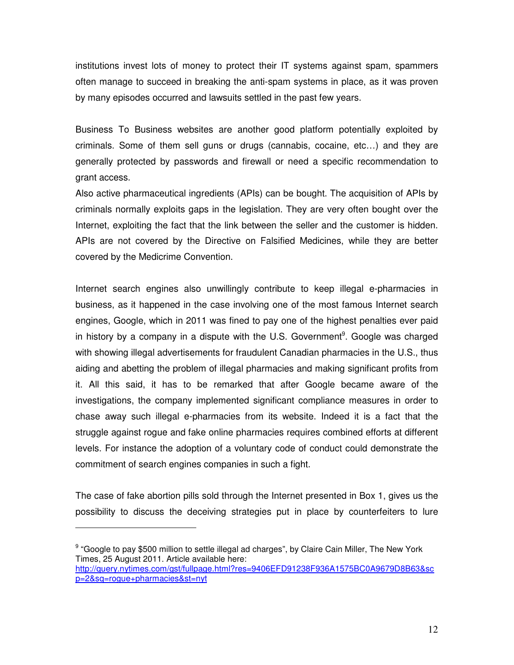institutions invest lots of money to protect their IT systems against spam, spammers often manage to succeed in breaking the anti-spam systems in place, as it was proven by many episodes occurred and lawsuits settled in the past few years.

Business To Business websites are another good platform potentially exploited by criminals. Some of them sell guns or drugs (cannabis, cocaine, etc…) and they are generally protected by passwords and firewall or need a specific recommendation to grant access.

Also active pharmaceutical ingredients (APIs) can be bought. The acquisition of APIs by criminals normally exploits gaps in the legislation. They are very often bought over the Internet, exploiting the fact that the link between the seller and the customer is hidden. APIs are not covered by the Directive on Falsified Medicines, while they are better covered by the Medicrime Convention.

Internet search engines also unwillingly contribute to keep illegal e-pharmacies in business, as it happened in the case involving one of the most famous Internet search engines, Google, which in 2011 was fined to pay one of the highest penalties ever paid in history by a company in a dispute with the U.S. Government<sup>9</sup>. Google was charged with showing illegal advertisements for fraudulent Canadian pharmacies in the U.S., thus aiding and abetting the problem of illegal pharmacies and making significant profits from it. All this said, it has to be remarked that after Google became aware of the investigations, the company implemented significant compliance measures in order to chase away such illegal e-pharmacies from its website. Indeed it is a fact that the struggle against rogue and fake online pharmacies requires combined efforts at different levels. For instance the adoption of a voluntary code of conduct could demonstrate the commitment of search engines companies in such a fight.

The case of fake abortion pills sold through the Internet presented in Box 1, gives us the possibility to discuss the deceiving strategies put in place by counterfeiters to lure

 $\overline{a}$ 

<sup>&</sup>lt;sup>9</sup> "Google to pay \$500 million to settle illegal ad charges", by Claire Cain Miller, The New York Times, 25 August 2011. Article available here:

http://query.nytimes.com/gst/fullpage.html?res=9406EFD91238F936A1575BC0A9679D8B63&sc p=2&sq=rogue+pharmacies&st=nyt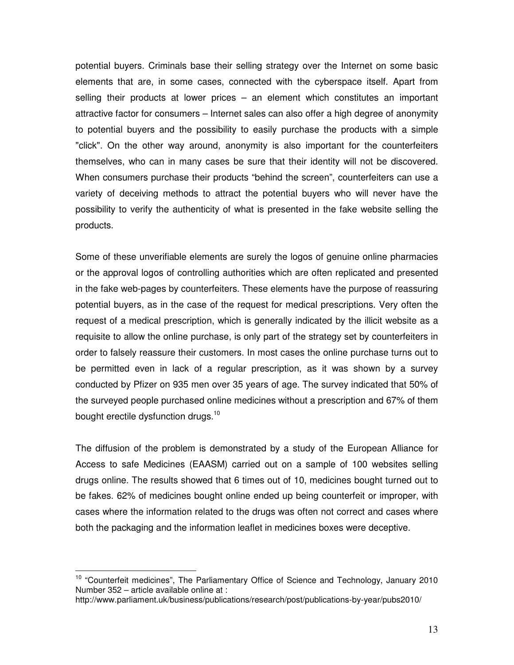potential buyers. Criminals base their selling strategy over the Internet on some basic elements that are, in some cases, connected with the cyberspace itself. Apart from selling their products at lower prices – an element which constitutes an important attractive factor for consumers – Internet sales can also offer a high degree of anonymity to potential buyers and the possibility to easily purchase the products with a simple "click". On the other way around, anonymity is also important for the counterfeiters themselves, who can in many cases be sure that their identity will not be discovered. When consumers purchase their products "behind the screen", counterfeiters can use a variety of deceiving methods to attract the potential buyers who will never have the possibility to verify the authenticity of what is presented in the fake website selling the products.

Some of these unverifiable elements are surely the logos of genuine online pharmacies or the approval logos of controlling authorities which are often replicated and presented in the fake web-pages by counterfeiters. These elements have the purpose of reassuring potential buyers, as in the case of the request for medical prescriptions. Very often the request of a medical prescription, which is generally indicated by the illicit website as a requisite to allow the online purchase, is only part of the strategy set by counterfeiters in order to falsely reassure their customers. In most cases the online purchase turns out to be permitted even in lack of a regular prescription, as it was shown by a survey conducted by Pfizer on 935 men over 35 years of age. The survey indicated that 50% of the surveyed people purchased online medicines without a prescription and 67% of them bought erectile dysfunction drugs.<sup>10</sup>

The diffusion of the problem is demonstrated by a study of the European Alliance for Access to safe Medicines (EAASM) carried out on a sample of 100 websites selling drugs online. The results showed that 6 times out of 10, medicines bought turned out to be fakes. 62% of medicines bought online ended up being counterfeit or improper, with cases where the information related to the drugs was often not correct and cases where both the packaging and the information leaflet in medicines boxes were deceptive.

 $\overline{a}$ 

<sup>&</sup>lt;sup>10</sup> "Counterfeit medicines", The Parliamentary Office of Science and Technology, January 2010 Number 352 – article available online at :

http://www.parliament.uk/business/publications/research/post/publications-by-year/pubs2010/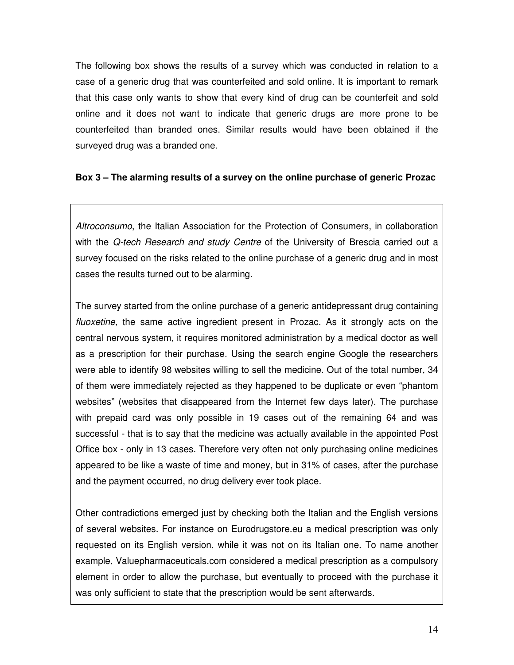The following box shows the results of a survey which was conducted in relation to a case of a generic drug that was counterfeited and sold online. It is important to remark that this case only wants to show that every kind of drug can be counterfeit and sold online and it does not want to indicate that generic drugs are more prone to be counterfeited than branded ones. Similar results would have been obtained if the surveyed drug was a branded one.

## **Box 3 – The alarming results of a survey on the online purchase of generic Prozac**

Altroconsumo, the Italian Association for the Protection of Consumers, in collaboration with the Q-tech Research and study Centre of the University of Brescia carried out a survey focused on the risks related to the online purchase of a generic drug and in most cases the results turned out to be alarming.

The survey started from the online purchase of a generic antidepressant drug containing fluoxetine, the same active ingredient present in Prozac. As it strongly acts on the central nervous system, it requires monitored administration by a medical doctor as well as a prescription for their purchase. Using the search engine Google the researchers were able to identify 98 websites willing to sell the medicine. Out of the total number, 34 of them were immediately rejected as they happened to be duplicate or even "phantom websites" (websites that disappeared from the Internet few days later). The purchase with prepaid card was only possible in 19 cases out of the remaining 64 and was successful - that is to say that the medicine was actually available in the appointed Post Office box - only in 13 cases. Therefore very often not only purchasing online medicines appeared to be like a waste of time and money, but in 31% of cases, after the purchase and the payment occurred, no drug delivery ever took place.

Other contradictions emerged just by checking both the Italian and the English versions of several websites. For instance on Eurodrugstore.eu a medical prescription was only requested on its English version, while it was not on its Italian one. To name another example, Valuepharmaceuticals.com considered a medical prescription as a compulsory element in order to allow the purchase, but eventually to proceed with the purchase it was only sufficient to state that the prescription would be sent afterwards.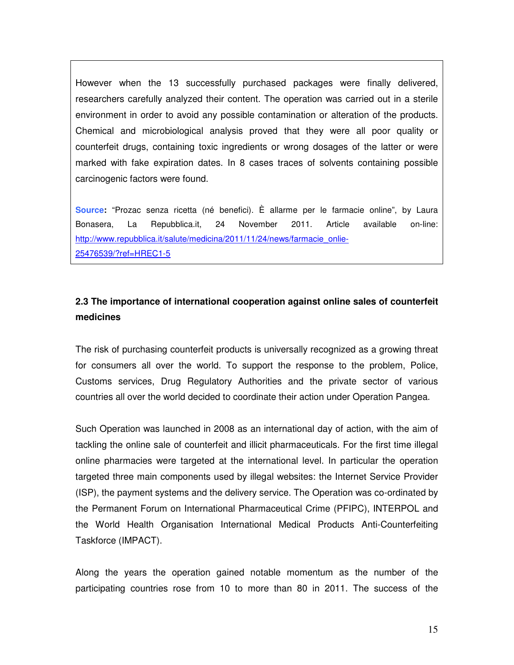However when the 13 successfully purchased packages were finally delivered, researchers carefully analyzed their content. The operation was carried out in a sterile environment in order to avoid any possible contamination or alteration of the products. Chemical and microbiological analysis proved that they were all poor quality or counterfeit drugs, containing toxic ingredients or wrong dosages of the latter or were marked with fake expiration dates. In 8 cases traces of solvents containing possible carcinogenic factors were found.

**Source:** "Prozac senza ricetta (né benefici). È allarme per le farmacie online", by Laura Bonasera, La Repubblica.it, 24 November 2011. Article available on-line: http://www.repubblica.it/salute/medicina/2011/11/24/news/farmacie\_onlie-25476539/?ref=HREC1-5

## **2.3 The importance of international cooperation against online sales of counterfeit medicines**

The risk of purchasing counterfeit products is universally recognized as a growing threat for consumers all over the world. To support the response to the problem, Police, Customs services, Drug Regulatory Authorities and the private sector of various countries all over the world decided to coordinate their action under Operation Pangea.

Such Operation was launched in 2008 as an international day of action, with the aim of tackling the online sale of counterfeit and illicit pharmaceuticals. For the first time illegal online pharmacies were targeted at the international level. In particular the operation targeted three main components used by illegal websites: the Internet Service Provider (ISP), the payment systems and the delivery service. The Operation was co-ordinated by the Permanent Forum on International Pharmaceutical Crime (PFIPC), INTERPOL and the World Health Organisation International Medical Products Anti-Counterfeiting Taskforce (IMPACT).

Along the years the operation gained notable momentum as the number of the participating countries rose from 10 to more than 80 in 2011. The success of the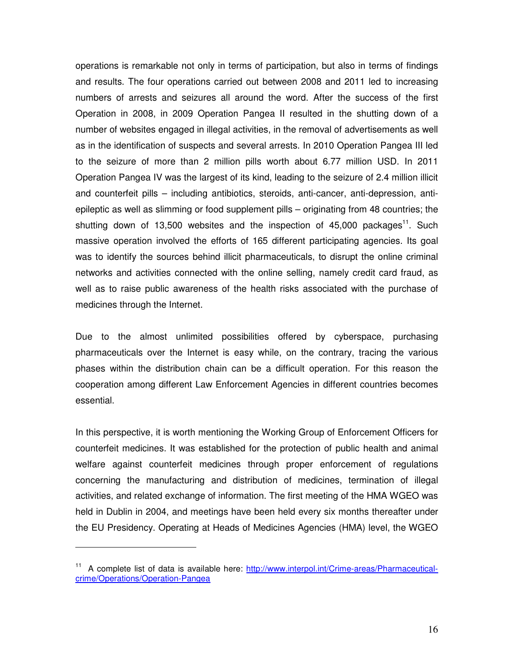operations is remarkable not only in terms of participation, but also in terms of findings and results. The four operations carried out between 2008 and 2011 led to increasing numbers of arrests and seizures all around the word. After the success of the first Operation in 2008, in 2009 Operation Pangea II resulted in the shutting down of a number of websites engaged in illegal activities, in the removal of advertisements as well as in the identification of suspects and several arrests. In 2010 Operation Pangea III led to the seizure of more than 2 million pills worth about 6.77 million USD. In 2011 Operation Pangea IV was the largest of its kind, leading to the seizure of 2.4 million illicit and counterfeit pills – including antibiotics, steroids, anti-cancer, anti-depression, antiepileptic as well as slimming or food supplement pills – originating from 48 countries; the shutting down of 13,500 websites and the inspection of  $45,000$  packages<sup>11</sup>. Such massive operation involved the efforts of 165 different participating agencies. Its goal was to identify the sources behind illicit pharmaceuticals, to disrupt the online criminal networks and activities connected with the online selling, namely credit card fraud, as well as to raise public awareness of the health risks associated with the purchase of medicines through the Internet.

Due to the almost unlimited possibilities offered by cyberspace, purchasing pharmaceuticals over the Internet is easy while, on the contrary, tracing the various phases within the distribution chain can be a difficult operation. For this reason the cooperation among different Law Enforcement Agencies in different countries becomes essential.

In this perspective, it is worth mentioning the Working Group of Enforcement Officers for counterfeit medicines. It was established for the protection of public health and animal welfare against counterfeit medicines through proper enforcement of regulations concerning the manufacturing and distribution of medicines, termination of illegal activities, and related exchange of information. The first meeting of the HMA WGEO was held in Dublin in 2004, and meetings have been held every six months thereafter under the EU Presidency. Operating at Heads of Medicines Agencies (HMA) level, the WGEO

 $\overline{a}$ 

<sup>&</sup>lt;sup>11</sup> A complete list of data is available here: http://www.interpol.int/Crime-areas/Pharmaceuticalcrime/Operations/Operation-Pangea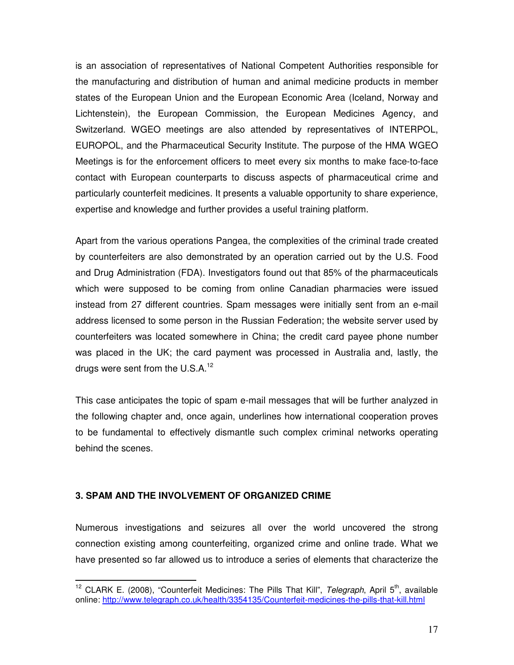is an association of representatives of National Competent Authorities responsible for the manufacturing and distribution of human and animal medicine products in member states of the European Union and the European Economic Area (Iceland, Norway and Lichtenstein), the European Commission, the European Medicines Agency, and Switzerland. WGEO meetings are also attended by representatives of INTERPOL, EUROPOL, and the Pharmaceutical Security Institute. The purpose of the HMA WGEO Meetings is for the enforcement officers to meet every six months to make face-to-face contact with European counterparts to discuss aspects of pharmaceutical crime and particularly counterfeit medicines. It presents a valuable opportunity to share experience, expertise and knowledge and further provides a useful training platform.

Apart from the various operations Pangea, the complexities of the criminal trade created by counterfeiters are also demonstrated by an operation carried out by the U.S. Food and Drug Administration (FDA). Investigators found out that 85% of the pharmaceuticals which were supposed to be coming from online Canadian pharmacies were issued instead from 27 different countries. Spam messages were initially sent from an e-mail address licensed to some person in the Russian Federation; the website server used by counterfeiters was located somewhere in China; the credit card payee phone number was placed in the UK; the card payment was processed in Australia and, lastly, the drugs were sent from the U.S.A. $12$ 

This case anticipates the topic of spam e-mail messages that will be further analyzed in the following chapter and, once again, underlines how international cooperation proves to be fundamental to effectively dismantle such complex criminal networks operating behind the scenes.

#### **3. SPAM AND THE INVOLVEMENT OF ORGANIZED CRIME**

Numerous investigations and seizures all over the world uncovered the strong connection existing among counterfeiting, organized crime and online trade. What we have presented so far allowed us to introduce a series of elements that characterize the

 $\overline{\phantom{a}}$ <sup>12</sup> CLARK E. (2008), "Counterfeit Medicines: The Pills That Kill", Telegraph, April 5<sup>th</sup>, available online: http://www.telegraph.co.uk/health/3354135/Counterfeit-medicines-the-pills-that-kill.html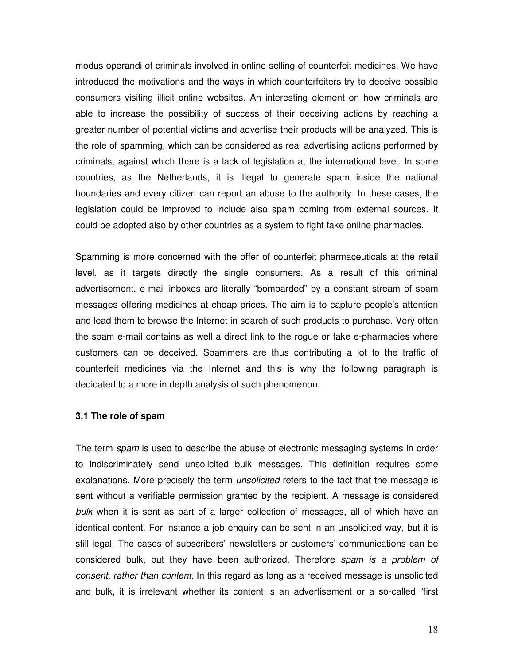modus operandi of criminals involved in online selling of counterfeit medicines. We have introduced the motivations and the ways in which counterfeiters try to deceive possible consumers visiting illicit online websites. An interesting element on how criminals are able to increase the possibility of success of their deceiving actions by reaching a greater number of potential victims and advertise their products will be analyzed. This is the role of spamming, which can be considered as real advertising actions performed by criminals, against which there is a lack of legislation at the international level. In some countries, as the Netherlands, it is illegal to generate spam inside the national boundaries and every citizen can report an abuse to the authority. In these cases, the legislation could be improved to include also spam coming from external sources. It could be adopted also by other countries as a system to fight fake online pharmacies.

Spamming is more concerned with the offer of counterfeit pharmaceuticals at the retail level, as it targets directly the single consumers. As a result of this criminal advertisement, e-mail inboxes are literally "bombarded" by a constant stream of spam messages offering medicines at cheap prices. The aim is to capture people's attention and lead them to browse the Internet in search of such products to purchase. Very often the spam e-mail contains as well a direct link to the rogue or fake e-pharmacies where customers can be deceived. Spammers are thus contributing a lot to the traffic of counterfeit medicines via the Internet and this is why the following paragraph is dedicated to a more in depth analysis of such phenomenon.

#### **3.1 The role of spam**

The term *spam* is used to describe the abuse of electronic messaging systems in order to indiscriminately send unsolicited bulk messages. This definition requires some explanations. More precisely the term *unsolicited* refers to the fact that the message is sent without a verifiable permission granted by the recipient. A message is considered bulk when it is sent as part of a larger collection of messages, all of which have an identical content. For instance a job enquiry can be sent in an unsolicited way, but it is still legal. The cases of subscribers' newsletters or customers' communications can be considered bulk, but they have been authorized. Therefore spam is a problem of consent, rather than content. In this regard as long as a received message is unsolicited and bulk, it is irrelevant whether its content is an advertisement or a so-called "first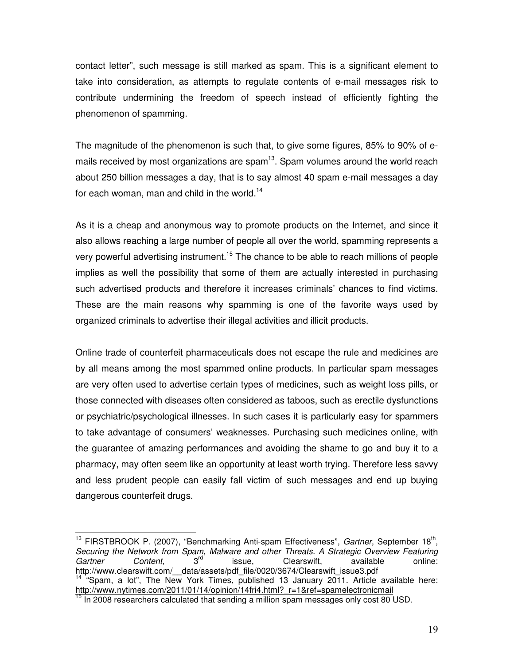contact letter", such message is still marked as spam. This is a significant element to take into consideration, as attempts to regulate contents of e-mail messages risk to contribute undermining the freedom of speech instead of efficiently fighting the phenomenon of spamming.

The magnitude of the phenomenon is such that, to give some figures, 85% to 90% of emails received by most organizations are spam $13$ . Spam volumes around the world reach about 250 billion messages a day, that is to say almost 40 spam e-mail messages a day for each woman, man and child in the world.<sup>14</sup>

As it is a cheap and anonymous way to promote products on the Internet, and since it also allows reaching a large number of people all over the world, spamming represents a very powerful advertising instrument.<sup>15</sup> The chance to be able to reach millions of people implies as well the possibility that some of them are actually interested in purchasing such advertised products and therefore it increases criminals' chances to find victims. These are the main reasons why spamming is one of the favorite ways used by organized criminals to advertise their illegal activities and illicit products.

Online trade of counterfeit pharmaceuticals does not escape the rule and medicines are by all means among the most spammed online products. In particular spam messages are very often used to advertise certain types of medicines, such as weight loss pills, or those connected with diseases often considered as taboos, such as erectile dysfunctions or psychiatric/psychological illnesses. In such cases it is particularly easy for spammers to take advantage of consumers' weaknesses. Purchasing such medicines online, with the guarantee of amazing performances and avoiding the shame to go and buy it to a pharmacy, may often seem like an opportunity at least worth trying. Therefore less savvy and less prudent people can easily fall victim of such messages and end up buying dangerous counterfeit drugs.

 $\overline{a}$ <sup>13</sup> FIRSTBROOK P. (2007), "Benchmarking Anti-spam Effectiveness", Gartner, September 18<sup>th</sup>, Securing the Network from Spam, Malware and other Threats. A Strategic Overview Featuring<br>Gartner Content 3<sup>rd</sup> issue Clearswift available online: Gartner Content, 3<sup>rd</sup> issue, Clearswift, available online: http://www.clearswift.com/ data/assets/pdf file/0020/3674/Clearswift\_issue3.pdf  $14$  "Spam, a lot", The New York Times, published 13 January 2011. Article available here: http://www.nytimes.com/2011/01/14/opinion/14fri4.html?\_r=1&ref=spamelectronicmail

In 2008 researchers calculated that sending a million spam messages only cost 80 USD.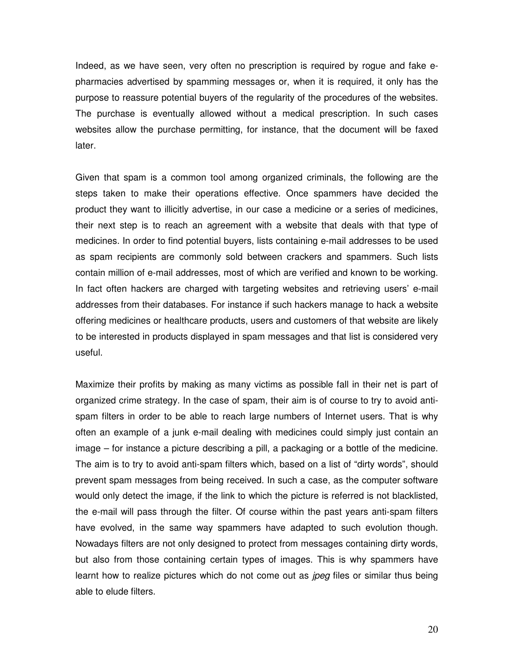Indeed, as we have seen, very often no prescription is required by rogue and fake epharmacies advertised by spamming messages or, when it is required, it only has the purpose to reassure potential buyers of the regularity of the procedures of the websites. The purchase is eventually allowed without a medical prescription. In such cases websites allow the purchase permitting, for instance, that the document will be faxed later.

Given that spam is a common tool among organized criminals, the following are the steps taken to make their operations effective. Once spammers have decided the product they want to illicitly advertise, in our case a medicine or a series of medicines, their next step is to reach an agreement with a website that deals with that type of medicines. In order to find potential buyers, lists containing e-mail addresses to be used as spam recipients are commonly sold between crackers and spammers. Such lists contain million of e-mail addresses, most of which are verified and known to be working. In fact often hackers are charged with targeting websites and retrieving users' e-mail addresses from their databases. For instance if such hackers manage to hack a website offering medicines or healthcare products, users and customers of that website are likely to be interested in products displayed in spam messages and that list is considered very useful.

Maximize their profits by making as many victims as possible fall in their net is part of organized crime strategy. In the case of spam, their aim is of course to try to avoid antispam filters in order to be able to reach large numbers of Internet users. That is why often an example of a junk e-mail dealing with medicines could simply just contain an image – for instance a picture describing a pill, a packaging or a bottle of the medicine. The aim is to try to avoid anti-spam filters which, based on a list of "dirty words", should prevent spam messages from being received. In such a case, as the computer software would only detect the image, if the link to which the picture is referred is not blacklisted, the e-mail will pass through the filter. Of course within the past years anti-spam filters have evolved, in the same way spammers have adapted to such evolution though. Nowadays filters are not only designed to protect from messages containing dirty words, but also from those containing certain types of images. This is why spammers have learnt how to realize pictures which do not come out as *jpeg* files or similar thus being able to elude filters.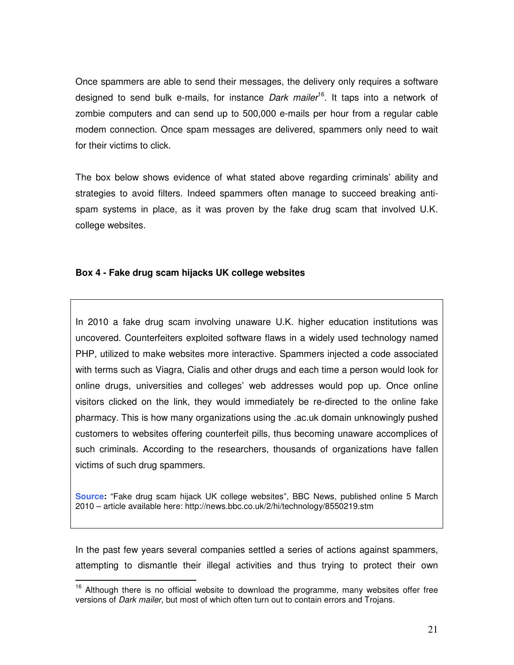Once spammers are able to send their messages, the delivery only requires a software designed to send bulk e-mails, for instance *Dark mailer*<sup>16</sup>. It taps into a network of zombie computers and can send up to 500,000 e-mails per hour from a regular cable modem connection. Once spam messages are delivered, spammers only need to wait for their victims to click.

The box below shows evidence of what stated above regarding criminals' ability and strategies to avoid filters. Indeed spammers often manage to succeed breaking antispam systems in place, as it was proven by the fake drug scam that involved U.K. college websites.

## **Box 4 - Fake drug scam hijacks UK college websites**

 $\overline{\phantom{a}}$ 

In 2010 a fake drug scam involving unaware U.K. higher education institutions was uncovered. Counterfeiters exploited software flaws in a widely used technology named PHP, utilized to make websites more interactive. Spammers injected a code associated with terms such as Viagra, Cialis and other drugs and each time a person would look for online drugs, universities and colleges' web addresses would pop up. Once online visitors clicked on the link, they would immediately be re-directed to the online fake pharmacy. This is how many organizations using the .ac.uk domain unknowingly pushed customers to websites offering counterfeit pills, thus becoming unaware accomplices of such criminals. According to the researchers, thousands of organizations have fallen victims of such drug spammers.

**Source:** "Fake drug scam hijack UK college websites", BBC News, published online 5 March 2010 – article available here: http://news.bbc.co.uk/2/hi/technology/8550219.stm

In the past few years several companies settled a series of actions against spammers, attempting to dismantle their illegal activities and thus trying to protect their own

 $16$  Although there is no official website to download the programme, many websites offer free versions of Dark mailer, but most of which often turn out to contain errors and Trojans.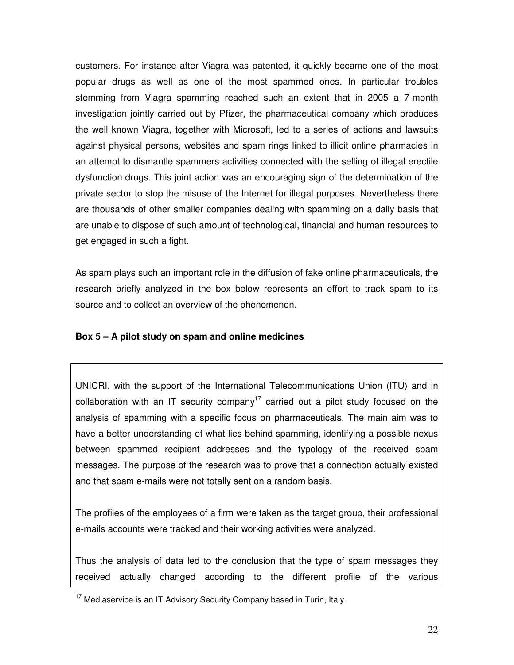customers. For instance after Viagra was patented, it quickly became one of the most popular drugs as well as one of the most spammed ones. In particular troubles stemming from Viagra spamming reached such an extent that in 2005 a 7-month investigation jointly carried out by Pfizer, the pharmaceutical company which produces the well known Viagra, together with Microsoft, led to a series of actions and lawsuits against physical persons, websites and spam rings linked to illicit online pharmacies in an attempt to dismantle spammers activities connected with the selling of illegal erectile dysfunction drugs. This joint action was an encouraging sign of the determination of the private sector to stop the misuse of the Internet for illegal purposes. Nevertheless there are thousands of other smaller companies dealing with spamming on a daily basis that are unable to dispose of such amount of technological, financial and human resources to get engaged in such a fight.

As spam plays such an important role in the diffusion of fake online pharmaceuticals, the research briefly analyzed in the box below represents an effort to track spam to its source and to collect an overview of the phenomenon.

## **Box 5 – A pilot study on spam and online medicines**

UNICRI, with the support of the International Telecommunications Union (ITU) and in collaboration with an IT security company<sup>17</sup> carried out a pilot study focused on the analysis of spamming with a specific focus on pharmaceuticals. The main aim was to have a better understanding of what lies behind spamming, identifying a possible nexus between spammed recipient addresses and the typology of the received spam messages. The purpose of the research was to prove that a connection actually existed and that spam e-mails were not totally sent on a random basis.

The profiles of the employees of a firm were taken as the target group, their professional e-mails accounts were tracked and their working activities were analyzed.

Thus the analysis of data led to the conclusion that the type of spam messages they received actually changed according to the different profile of the various

 $\overline{a}$  $17$  Mediaservice is an IT Advisory Security Company based in Turin, Italy.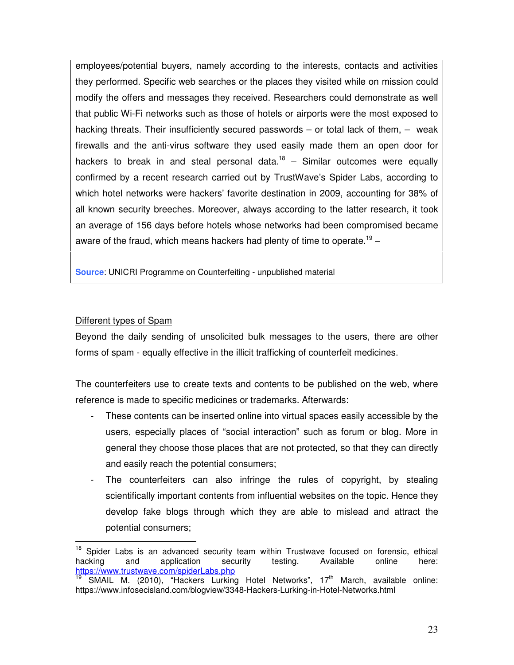employees/potential buyers, namely according to the interests, contacts and activities they performed. Specific web searches or the places they visited while on mission could modify the offers and messages they received. Researchers could demonstrate as well that public Wi-Fi networks such as those of hotels or airports were the most exposed to hacking threats. Their insufficiently secured passwords – or total lack of them, – weak firewalls and the anti-virus software they used easily made them an open door for hackers to break in and steal personal data.<sup>18</sup> – Similar outcomes were equally confirmed by a recent research carried out by TrustWave's Spider Labs, according to which hotel networks were hackers' favorite destination in 2009, accounting for 38% of all known security breeches. Moreover, always according to the latter research, it took an average of 156 days before hotels whose networks had been compromised became aware of the fraud, which means hackers had plenty of time to operate.<sup>19</sup>  $-$ 

**Source**: UNICRI Programme on Counterfeiting - unpublished material

## Different types of Spam

Beyond the daily sending of unsolicited bulk messages to the users, there are other forms of spam - equally effective in the illicit trafficking of counterfeit medicines.

The counterfeiters use to create texts and contents to be published on the web, where reference is made to specific medicines or trademarks. Afterwards:

- These contents can be inserted online into virtual spaces easily accessible by the users, especially places of "social interaction" such as forum or blog. More in general they choose those places that are not protected, so that they can directly and easily reach the potential consumers;
- The counterfeiters can also infringe the rules of copyright, by stealing scientifically important contents from influential websites on the topic. Hence they develop fake blogs through which they are able to mislead and attract the potential consumers;

 $\overline{\phantom{a}}$  $18$  Spider Labs is an advanced security team within Trustwave focused on forensic, ethical hacking and application security testing. Available online here: https://www.trustwave.com/spiderLabs.php

SMAIL M. (2010), "Hackers Lurking Hotel Networks", 17<sup>th</sup> March, available online: https://www.infosecisland.com/blogview/3348-Hackers-Lurking-in-Hotel-Networks.html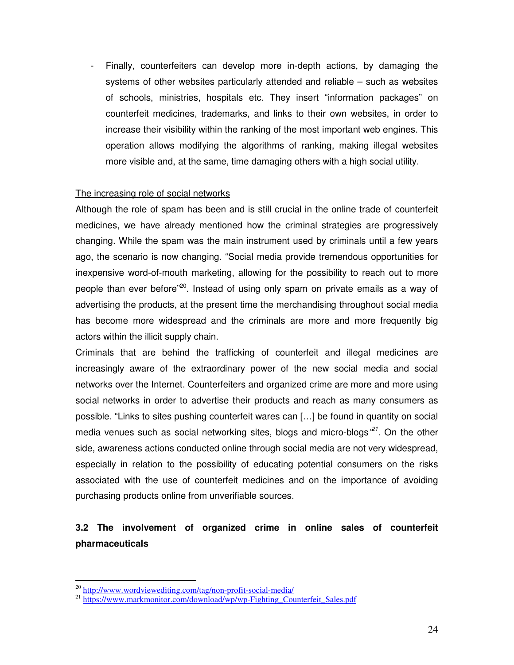- Finally, counterfeiters can develop more in-depth actions, by damaging the systems of other websites particularly attended and reliable – such as websites of schools, ministries, hospitals etc. They insert "information packages" on counterfeit medicines, trademarks, and links to their own websites, in order to increase their visibility within the ranking of the most important web engines. This operation allows modifying the algorithms of ranking, making illegal websites more visible and, at the same, time damaging others with a high social utility.

#### The increasing role of social networks

Although the role of spam has been and is still crucial in the online trade of counterfeit medicines, we have already mentioned how the criminal strategies are progressively changing. While the spam was the main instrument used by criminals until a few years ago, the scenario is now changing. "Social media provide tremendous opportunities for inexpensive word-of-mouth marketing, allowing for the possibility to reach out to more people than ever before<sup>"20</sup>. Instead of using only spam on private emails as a way of advertising the products, at the present time the merchandising throughout social media has become more widespread and the criminals are more and more frequently big actors within the illicit supply chain.

Criminals that are behind the trafficking of counterfeit and illegal medicines are increasingly aware of the extraordinary power of the new social media and social networks over the Internet. Counterfeiters and organized crime are more and more using social networks in order to advertise their products and reach as many consumers as possible. "Links to sites pushing counterfeit wares can […] be found in quantity on social media venues such as social networking sites, blogs and micro-blogs<sup>221</sup>. On the other side, awareness actions conducted online through social media are not very widespread, especially in relation to the possibility of educating potential consumers on the risks associated with the use of counterfeit medicines and on the importance of avoiding purchasing products online from unverifiable sources.

# **3.2 The involvement of organized crime in online sales of counterfeit pharmaceuticals**

 $\overline{a}$ 

<sup>&</sup>lt;sup>20</sup> http://www.wordviewediting.com/tag/non-profit-social-media/

 $^{21}$  https://www.markmonitor.com/download/wp/wp-Fighting\_Counterfeit\_Sales.pdf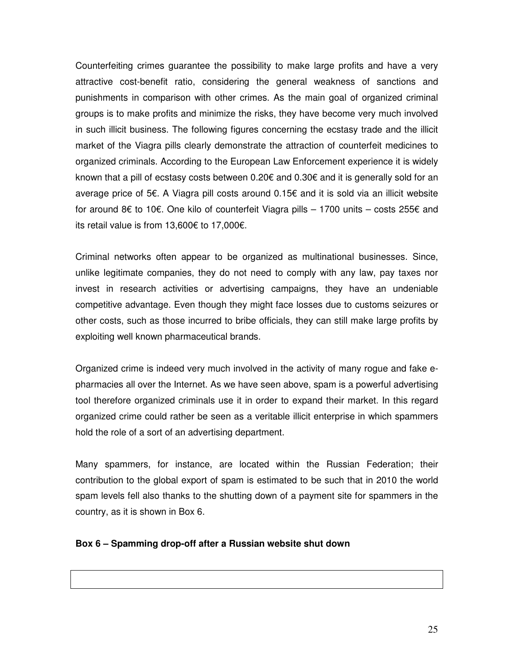Counterfeiting crimes guarantee the possibility to make large profits and have a very attractive cost-benefit ratio, considering the general weakness of sanctions and punishments in comparison with other crimes. As the main goal of organized criminal groups is to make profits and minimize the risks, they have become very much involved in such illicit business. The following figures concerning the ecstasy trade and the illicit market of the Viagra pills clearly demonstrate the attraction of counterfeit medicines to organized criminals. According to the European Law Enforcement experience it is widely known that a pill of ecstasy costs between 0.20€ and 0.30€ and it is generally sold for an average price of 5€. A Viagra pill costs around 0.15€ and it is sold via an illicit website for around 8€ to 10€. One kilo of counterfeit Viagra pills – 1700 units – costs 255€ and its retail value is from 13,600€ to 17,000€.

Criminal networks often appear to be organized as multinational businesses. Since, unlike legitimate companies, they do not need to comply with any law, pay taxes nor invest in research activities or advertising campaigns, they have an undeniable competitive advantage. Even though they might face losses due to customs seizures or other costs, such as those incurred to bribe officials, they can still make large profits by exploiting well known pharmaceutical brands.

Organized crime is indeed very much involved in the activity of many rogue and fake epharmacies all over the Internet. As we have seen above, spam is a powerful advertising tool therefore organized criminals use it in order to expand their market. In this regard organized crime could rather be seen as a veritable illicit enterprise in which spammers hold the role of a sort of an advertising department.

Many spammers, for instance, are located within the Russian Federation; their contribution to the global export of spam is estimated to be such that in 2010 the world spam levels fell also thanks to the shutting down of a payment site for spammers in the country, as it is shown in Box 6.

#### **Box 6 – Spamming drop-off after a Russian website shut down**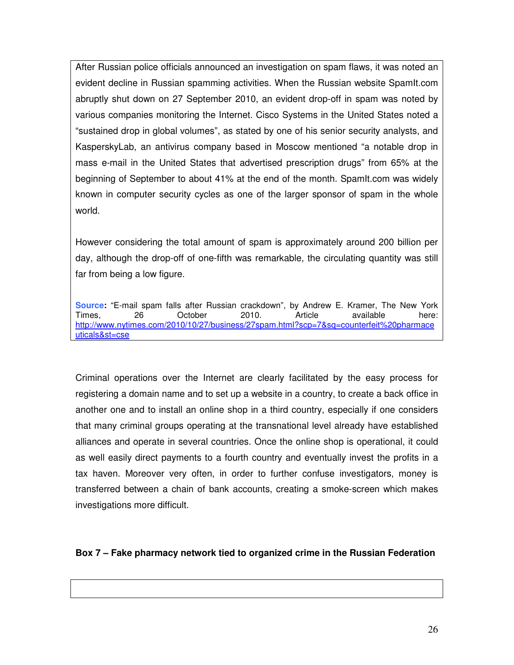After Russian police officials announced an investigation on spam flaws, it was noted an evident decline in Russian spamming activities. When the Russian website SpamIt.com abruptly shut down on 27 September 2010, an evident drop-off in spam was noted by various companies monitoring the Internet. Cisco Systems in the United States noted a "sustained drop in global volumes", as stated by one of his senior security analysts, and KasperskyLab, an antivirus company based in Moscow mentioned "a notable drop in mass e-mail in the United States that advertised prescription drugs" from 65% at the beginning of September to about 41% at the end of the month. SpamIt.com was widely known in computer security cycles as one of the larger sponsor of spam in the whole world.

However considering the total amount of spam is approximately around 200 billion per day, although the drop-off of one-fifth was remarkable, the circulating quantity was still far from being a low figure.

**Source:** "E-mail spam falls after Russian crackdown", by Andrew E. Kramer, The New York Times, 26 October 2010. Article available here: http://www.nytimes.com/2010/10/27/business/27spam.html?scp=7&sq=counterfeit%20pharmace uticals&st=cse

Criminal operations over the Internet are clearly facilitated by the easy process for registering a domain name and to set up a website in a country, to create a back office in another one and to install an online shop in a third country, especially if one considers that many criminal groups operating at the transnational level already have established alliances and operate in several countries. Once the online shop is operational, it could as well easily direct payments to a fourth country and eventually invest the profits in a tax haven. Moreover very often, in order to further confuse investigators, money is transferred between a chain of bank accounts, creating a smoke-screen which makes investigations more difficult.

## **Box 7 – Fake pharmacy network tied to organized crime in the Russian Federation**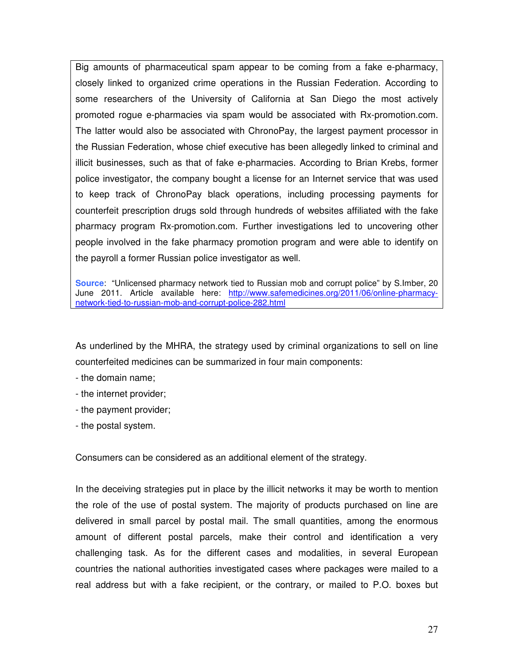Big amounts of pharmaceutical spam appear to be coming from a fake e-pharmacy, closely linked to organized crime operations in the Russian Federation. According to some researchers of the University of California at San Diego the most actively promoted rogue e-pharmacies via spam would be associated with Rx-promotion.com. The latter would also be associated with ChronoPay, the largest payment processor in the Russian Federation, whose chief executive has been allegedly linked to criminal and illicit businesses, such as that of fake e-pharmacies. According to Brian Krebs, former police investigator, the company bought a license for an Internet service that was used to keep track of ChronoPay black operations, including processing payments for counterfeit prescription drugs sold through hundreds of websites affiliated with the fake pharmacy program Rx-promotion.com. Further investigations led to uncovering other people involved in the fake pharmacy promotion program and were able to identify on the payroll a former Russian police investigator as well.

**Source**: "Unlicensed pharmacy network tied to Russian mob and corrupt police" by S.Imber, 20 June 2011. Article available here: http://www.safemedicines.org/2011/06/online-pharmacynetwork-tied-to-russian-mob-and-corrupt-police-282.html

As underlined by the MHRA, the strategy used by criminal organizations to sell on line counterfeited medicines can be summarized in four main components:

- the domain name;
- the internet provider;
- the payment provider;
- the postal system.

Consumers can be considered as an additional element of the strategy.

In the deceiving strategies put in place by the illicit networks it may be worth to mention the role of the use of postal system. The majority of products purchased on line are delivered in small parcel by postal mail. The small quantities, among the enormous amount of different postal parcels, make their control and identification a very challenging task. As for the different cases and modalities, in several European countries the national authorities investigated cases where packages were mailed to a real address but with a fake recipient, or the contrary, or mailed to P.O. boxes but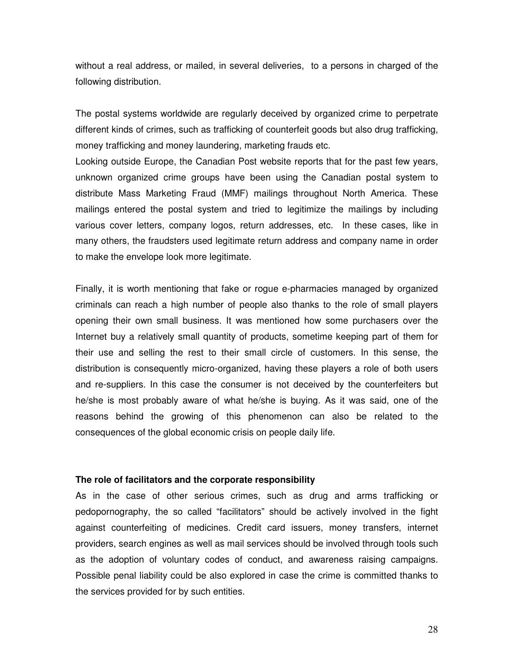without a real address, or mailed, in several deliveries, to a persons in charged of the following distribution.

The postal systems worldwide are regularly deceived by organized crime to perpetrate different kinds of crimes, such as trafficking of counterfeit goods but also drug trafficking, money trafficking and money laundering, marketing frauds etc.

Looking outside Europe, the Canadian Post website reports that for the past few years, unknown organized crime groups have been using the Canadian postal system to distribute Mass Marketing Fraud (MMF) mailings throughout North America. These mailings entered the postal system and tried to legitimize the mailings by including various cover letters, company logos, return addresses, etc. In these cases, like in many others, the fraudsters used legitimate return address and company name in order to make the envelope look more legitimate.

Finally, it is worth mentioning that fake or rogue e-pharmacies managed by organized criminals can reach a high number of people also thanks to the role of small players opening their own small business. It was mentioned how some purchasers over the Internet buy a relatively small quantity of products, sometime keeping part of them for their use and selling the rest to their small circle of customers. In this sense, the distribution is consequently micro-organized, having these players a role of both users and re-suppliers. In this case the consumer is not deceived by the counterfeiters but he/she is most probably aware of what he/she is buying. As it was said, one of the reasons behind the growing of this phenomenon can also be related to the consequences of the global economic crisis on people daily life.

#### **The role of facilitators and the corporate responsibility**

As in the case of other serious crimes, such as drug and arms trafficking or pedopornography, the so called "facilitators" should be actively involved in the fight against counterfeiting of medicines. Credit card issuers, money transfers, internet providers, search engines as well as mail services should be involved through tools such as the adoption of voluntary codes of conduct, and awareness raising campaigns. Possible penal liability could be also explored in case the crime is committed thanks to the services provided for by such entities.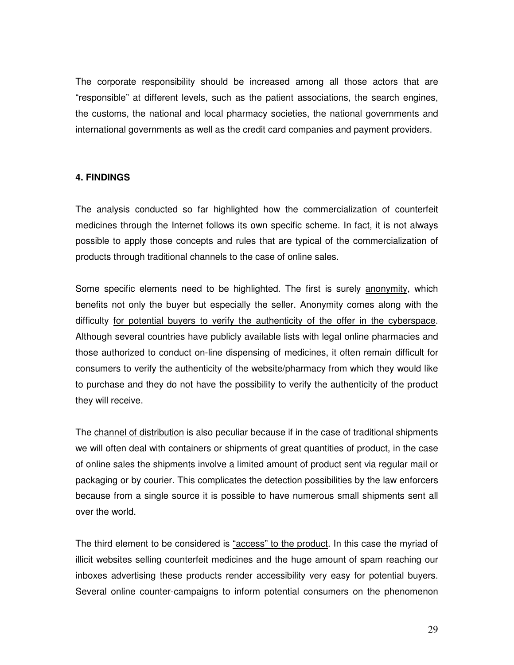The corporate responsibility should be increased among all those actors that are "responsible" at different levels, such as the patient associations, the search engines, the customs, the national and local pharmacy societies, the national governments and international governments as well as the credit card companies and payment providers.

## **4. FINDINGS**

The analysis conducted so far highlighted how the commercialization of counterfeit medicines through the Internet follows its own specific scheme. In fact, it is not always possible to apply those concepts and rules that are typical of the commercialization of products through traditional channels to the case of online sales.

Some specific elements need to be highlighted. The first is surely anonymity, which benefits not only the buyer but especially the seller. Anonymity comes along with the difficulty for potential buyers to verify the authenticity of the offer in the cyberspace. Although several countries have publicly available lists with legal online pharmacies and those authorized to conduct on-line dispensing of medicines, it often remain difficult for consumers to verify the authenticity of the website/pharmacy from which they would like to purchase and they do not have the possibility to verify the authenticity of the product they will receive.

The channel of distribution is also peculiar because if in the case of traditional shipments we will often deal with containers or shipments of great quantities of product, in the case of online sales the shipments involve a limited amount of product sent via regular mail or packaging or by courier. This complicates the detection possibilities by the law enforcers because from a single source it is possible to have numerous small shipments sent all over the world.

The third element to be considered is "access" to the product. In this case the myriad of illicit websites selling counterfeit medicines and the huge amount of spam reaching our inboxes advertising these products render accessibility very easy for potential buyers. Several online counter-campaigns to inform potential consumers on the phenomenon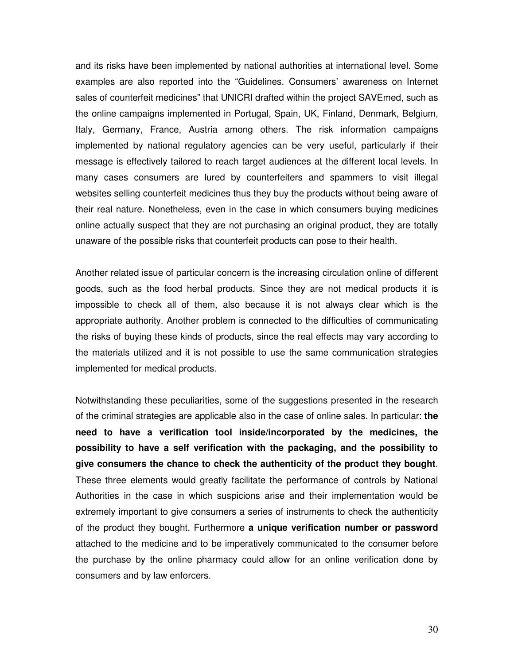and its risks have been implemented by national authorities at international level. Some examples are also reported into the "Guidelines. Consumers' awareness on Internet sales of counterfeit medicines" that UNICRI drafted within the project SAVEmed, such as the online campaigns implemented in Portugal, Spain, UK, Finland, Denmark, Belgium, Italy, Germany, France, Austria among others. The risk information campaigns implemented by national regulatory agencies can be very useful, particularly if their message is effectively tailored to reach target audiences at the different local levels. In many cases consumers are lured by counterfeiters and spammers to visit illegal websites selling counterfeit medicines thus they buy the products without being aware of their real nature. Nonetheless, even in the case in which consumers buying medicines online actually suspect that they are not purchasing an original product, they are totally unaware of the possible risks that counterfeit products can pose to their health.

Another related issue of particular concern is the increasing circulation online of different goods, such as the food herbal products. Since they are not medical products it is impossible to check all of them, also because it is not always clear which is the appropriate authority. Another problem is connected to the difficulties of communicating the risks of buying these kinds of products, since the real effects may vary according to the materials utilized and it is not possible to use the same communication strategies implemented for medical products.

Notwithstanding these peculiarities, some of the suggestions presented in the research of the criminal strategies are applicable also in the case of online sales. In particular: **the need to have a verification tool inside/incorporated by the medicines, the possibility to have a self verification with the packaging, and the possibility to give consumers the chance to check the authenticity of the product they bought**. These three elements would greatly facilitate the performance of controls by National Authorities in the case in which suspicions arise and their implementation would be extremely important to give consumers a series of instruments to check the authenticity of the product they bought. Furthermore **a unique verification number or password** attached to the medicine and to be imperatively communicated to the consumer before the purchase by the online pharmacy could allow for an online verification done by consumers and by law enforcers.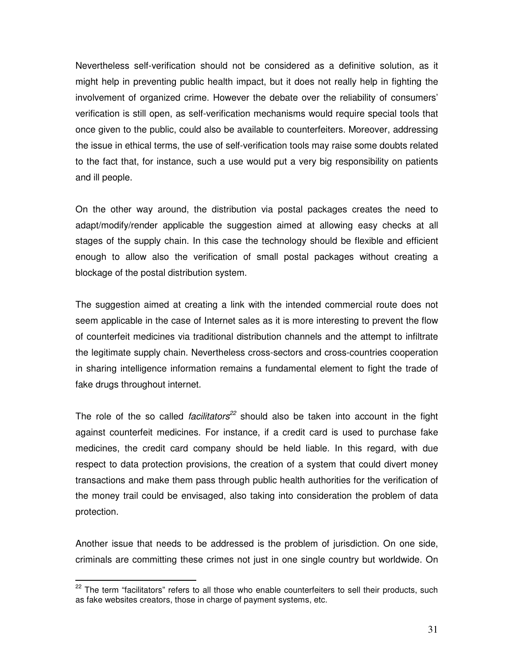Nevertheless self-verification should not be considered as a definitive solution, as it might help in preventing public health impact, but it does not really help in fighting the involvement of organized crime. However the debate over the reliability of consumers' verification is still open, as self-verification mechanisms would require special tools that once given to the public, could also be available to counterfeiters. Moreover, addressing the issue in ethical terms, the use of self-verification tools may raise some doubts related to the fact that, for instance, such a use would put a very big responsibility on patients and ill people.

On the other way around, the distribution via postal packages creates the need to adapt/modify/render applicable the suggestion aimed at allowing easy checks at all stages of the supply chain. In this case the technology should be flexible and efficient enough to allow also the verification of small postal packages without creating a blockage of the postal distribution system.

The suggestion aimed at creating a link with the intended commercial route does not seem applicable in the case of Internet sales as it is more interesting to prevent the flow of counterfeit medicines via traditional distribution channels and the attempt to infiltrate the legitimate supply chain. Nevertheless cross-sectors and cross-countries cooperation in sharing intelligence information remains a fundamental element to fight the trade of fake drugs throughout internet.

The role of the so called *facilitators*<sup>22</sup> should also be taken into account in the fight against counterfeit medicines. For instance, if a credit card is used to purchase fake medicines, the credit card company should be held liable. In this regard, with due respect to data protection provisions, the creation of a system that could divert money transactions and make them pass through public health authorities for the verification of the money trail could be envisaged, also taking into consideration the problem of data protection.

Another issue that needs to be addressed is the problem of jurisdiction. On one side, criminals are committing these crimes not just in one single country but worldwide. On

 $\overline{\phantom{a}}$ 

 $22$  The term "facilitators" refers to all those who enable counterfeiters to sell their products, such as fake websites creators, those in charge of payment systems, etc.